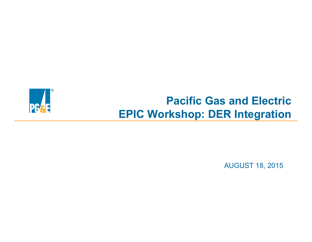

# **Pacific Gas and Electric EPIC Workshop: DER Integration**

AUGUST 18, 2015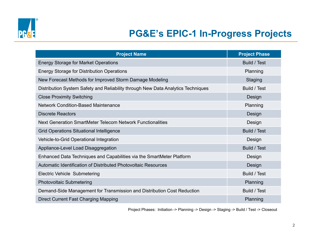

## **PG&E's EPIC-1 In-Progress Projects**

| <b>Project Name</b>                                                              | <b>Project Phase</b> |
|----------------------------------------------------------------------------------|----------------------|
| <b>Energy Storage for Market Operations</b>                                      | Build / Test         |
| <b>Energy Storage for Distribution Operations</b>                                | Planning             |
| New Forecast Methods for Improved Storm Damage Modeling                          | Staging              |
| Distribution System Safety and Reliability through New Data Analytics Techniques | Build / Test         |
| <b>Close Proximity Switching</b>                                                 | Design               |
| <b>Network Condition-Based Maintenance</b>                                       | Planning             |
| <b>Discrete Reactors</b>                                                         | Design               |
| Next Generation SmartMeter Telecom Network Functionalities                       | Design               |
| <b>Grid Operations Situational Intelligence</b>                                  | Build / Test         |
| Vehicle-to-Grid Operational Integration                                          | Design               |
| Appliance-Level Load Disaggregation                                              | <b>Build / Test</b>  |
| Enhanced Data Techniques and Capabilities via the SmartMeter Platform            | Design               |
| Automatic Identification of Distributed Photovoltaic Resources                   | Design               |
| <b>Electric Vehicle Submetering</b>                                              | Build / Test         |
| <b>Photovoltaic Submetering</b>                                                  | Planning             |
| Demand-Side Management for Transmission and Distribution Cost Reduction          | Build / Test         |
| <b>Direct Current Fast Charging Mapping</b>                                      | Planning             |

Project Phases: Initiation -> Planning -> Design -> Staging -> Build / Test -> Closeout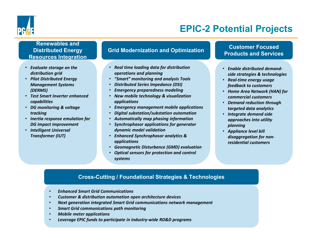

# **EPIC-2 Potential Projects**

#### **Renewables and Distributed Energy Resources Integration**

- *Evaluate storage on the distribution grid*
- *Pilot Distributed Energy Management Systems (DERMS)*
- *Test Smart Inverter enhancedcapabilities*
- *DG monitoring & voltage tracking*
- *Inertia response emulation for DG impact improvement*
- *Intelligent Universal Transformer (IUT)*

#### **Grid Modernization and Optimization**

- *Real time loading data for distribution operations and planning*
- *"Smart" monitoring and analysis Tools*
- *Distributed Series Impedance (DSI)*
- *Emergency preparedness modeling*
- *New mobile technology & visualization applications*
- *Emergency management mobile applications*
- *Digital substation/substation automation*
- *Automatically map phasing information*
- *Synchrophasor applications for generator dynamic model validation*
- *Enhanced Synchrophasor analytics & applications*
- *Geomagnetic Disturbance (GMD) evaluation*
- *Optical sensors for protection and control systems*

#### **Customer Focused Products and Services**

- *Enable distributed demand‐ side strategies & technologies*
- *Real‐time energy usage feedback to customers*
- *Home Area Network (HAN) for commercial customers*
- *Demand reduction through targeted data analytics*
- *Integrate demand side approaches into utility planning*
- *Appliance level bill disaggregation for non‐ residential customers*

#### **Cross-Cutting / Foundational Strategies & Technologies**

- *Enhanced Smart Grid Communications*
- *Customer & distribution automation open architecture devices*
- *Next generation integrated Smart Grid communications network management*
- *Smart Grid communications path monitoring*
- *Mobile meter applications*
- *Leverage EPIC funds to participate in industry‐wide RD&D programs*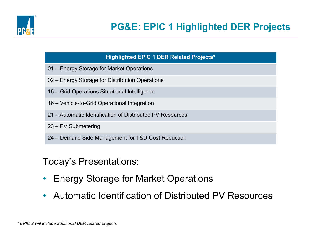

### **Highlighted EPIC 1 DER Related Projects\***

- 01 Energy Storage for Market Operations
- 02 Energy Storage for Distribution Operations
- 15 Grid Operations Situational Intelligence
- 16 Vehicle-to-Grid Operational Integration
- 21 Automatic Identification of Distributed PV Resources
- 23 PV Submetering
- 24 Demand Side Management for T&D Cost Reduction

## Today's Presentations:

- Energy Storage for Market Operations
- Automatic Identification of Distributed PV Resources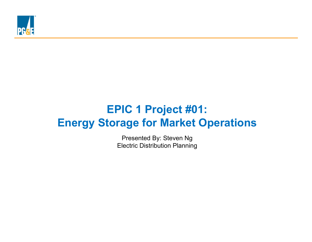

# **EPIC 1 Project #01: Energy Storage for Market Operations**

Presented By: Steven Ng Electric Distribution Planning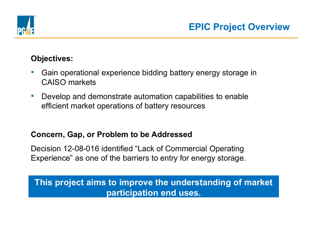

### **Objectives:**

- • Gain operational experience bidding battery energy storage in CAISO markets
- $\bullet$  Develop and demonstrate automation capabilities to enable efficient market operations of battery resources

### **Concern, Gap, or Problem to be Addressed**

Decision 12-08-016 identified "Lack of Commercial Operating Experience" as one of the barriers to entry for energy storage.

**This project aims to improve the understanding of market participation end uses.**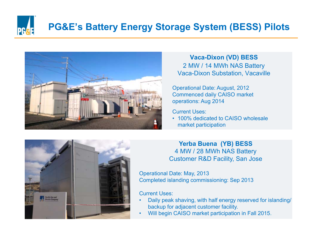

# **PG&E's Battery Energy Storage System (BESS) Pilots**



### **Vaca-Dixon (VD) BESS**  2 MW / 14 MWh NAS Battery Vaca-Dixon Substation, Vacaville

Operational Date: August, 2012 Commenced daily CAISO market operations: Aug 2014

Current Uses:

• 100% dedicated to CAISO wholesale market participation



4 MW / 28 MWh NAS Battery Customer R&D Facility, San Jose **Yerba Buena (YB) BESS**

Operational Date: May, 2013 Completed islanding commissioning: Sep 2013

Current Uses:

- • Daily peak shaving, with half energy reserved for islanding/ backup for adjacent customer facility.
- •Will begin CAISO market participation in Fall 2015.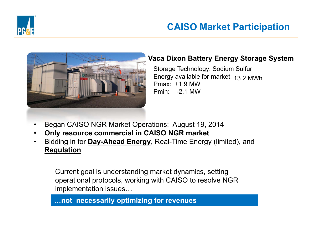



### **Vaca Dixon Battery Energy Storage System**

Storage Technology: Sodium Sulfur Energy available for market: 13.2 MWh Pmax: +1.9 MW Pmin: -2.1 MW

- •Began CAISO NGR Market Operations: August 19, 2014
- •**Only resource commercial in CAISO NGR market**
- $\bullet$  Bidding in for **Day-Ahead Energy**, Real-Time Energy (limited), and **Regulation**

Current goal is understanding market dynamics, setting operational protocols, working with CAISO to resolve NGR implementation issues…

**…not necessarily optimizing for revenues**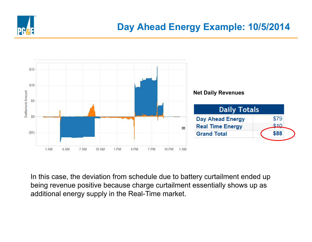

# **Day Ahead Energy Example: 10/5/2014**



In this case, the deviation from schedule due to battery curtailment ended up being revenue positive because charge curtailment essentially shows up as additional energy supply in the Real-Time market.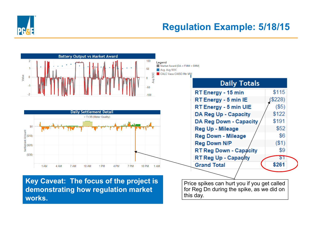

# **Regulation Example: 5/18/15**

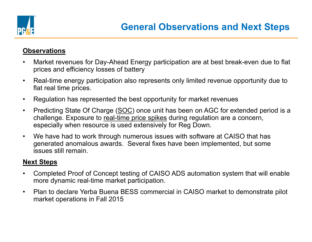

### **Observations**

- • Market revenues for Day-Ahead Energy participation are at best break-even due to flat prices and efficiency losses of battery
- $\bullet$  Real-time energy participation also represents only limited revenue opportunity due to flat real time prices.
- $\bullet$ Regulation has represented the best opportunity for market revenues
- $\bullet$  Predicting State Of Charge (SOC) once unit has been on AGC for extended period is a challenge. Exposure to real-time price spikes during regulation are a concern, especially when resource is used extensively for Reg Down.
- $\bullet$  We have had to work through numerous issues with software at CAISO that has generated anomalous awards. Several fixes have been implemented, but some issues still remain.

#### **Next Steps**

- $\bullet$  Completed Proof of Concept testing of CAISO ADS automation system that will enable more dynamic real-time market participation.
- • Plan to declare Yerba Buena BESS commercial in CAISO market to demonstrate pilot market operations in Fall 2015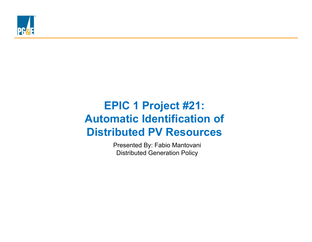

# **EPIC 1 Project #21: Automatic Identification of Distributed PV Resources**

Presented By: Fabio Mantovani Distributed Generation Policy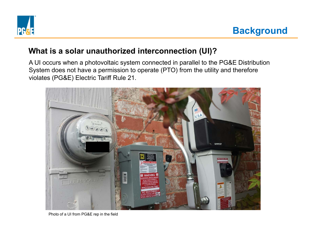

## Background **Background**

### **What is a solar unauthorized interconnection (UI)?**

A UI occurs when a photovoltaic system connected in parallel to the PG&E Distribution System does not have a permission to operate (PTO) from the utility and therefore violates (PG&E) Electric Tariff Rule 21.



Photo of a UI from PG&E rep in the field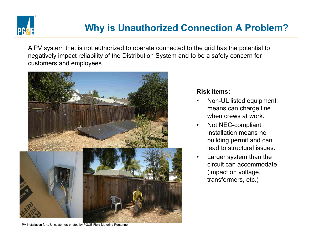

## **Why is Unauthorized Connection A Problem?**

A PV system that is not authorized to operate connected to the grid has the potential to negatively impact reliability of the Distribution System and to be a safety concern for customers and employees.



#### **Risk items:**

- • Non-UL listed equipment means can charge line when crews at work.
- $\bullet$  Not NEC-compliant installation means no building permit and can lead to structural issues.
- • Larger system than the circuit can accommodate (impact on voltage, transformers, etc.)

PV installation for a UI customer; photos by PG&E Field Metering Personnel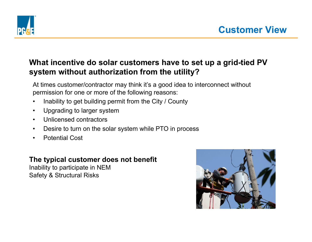

### **What incentive do solar customers have to set up a grid-tied PV system without authorization from the utility?**

At times customer/contractor may think it's a good idea to interconnect without permission for one or more of the following reasons:

- Inability to get building permit from the City / County
- Upgrading to larger system
- Unlicensed contractors
- Desire to turn on the solar system while PTO in process
- Potential Cost

### **The typical customer does not benefit**

Inability to participate in NEM Safety & Structural Risks

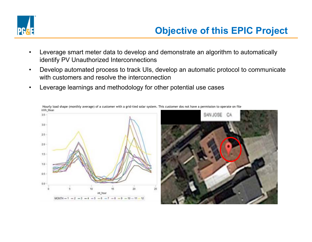

- • Leverage smart meter data to develop and demonstrate an algorithm to automatically identify PV Unauthorized Interconnections
- • Develop automated process to track UIs, develop an automatic protocol to communicate with customers and resolve the interconnection
- •Leverage learnings and methodology for other potential use cases



Hourly load shape (monthly average) of a customer with a grid-tied solar system. This customer dos not have a permission to operate on file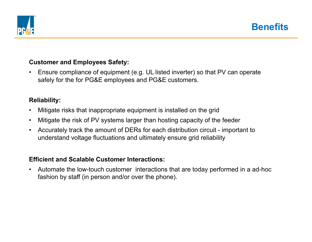



#### **Customer and Employees Safety:**

• Ensure compliance of equipment (e.g. UL listed inverter) so that PV can operate safely for the for PG&E employees and PG&E customers.

#### **Reliability:**

- $\bullet$ Mitigate risks that inappropriate equipment is installed on the grid
- Mitigate the risk of PV systems larger than hosting capacity of the feeder
- • Accurately track the amount of DERs for each distribution circuit - important to understand voltage fluctuations and ultimately ensure grid reliability

#### **Efficient and Scalable Customer Interactions:**

• Automate the low-touch customer interactions that are today performed in a ad-hoc fashion by staff (in person and/or over the phone).